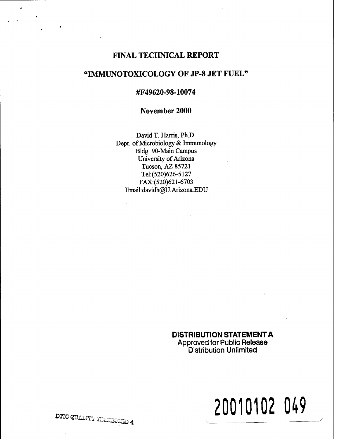# FINAL TECHNICAL REPORT

# "IMMUNOTOXICOLOGY OF JP-8 JET FUEL"

# #F49620-98-10074

#### November 2000

David T. Harris, Ph.D. Dept. of Microbiology & Immunology Bldg. 90-Main Campus University of Arizona Tucson, AZ 85721 Tel:(520)626-5127 FAX:(520)621-6703 Email: davidh@U.Arizona.EDU

# **DISTRIBUTION STATEMENT A**

**Approved for Public Release Distribution Unlimited**

# **20010102 049**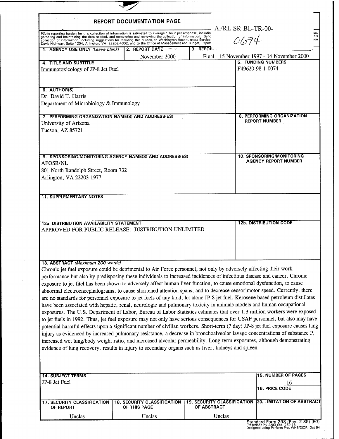| REPORT DOCUMENTATION PAGE                                                                                                                                                                                                                                                                                                                                                                                                                                                                                                                                                                                                                                                                                                                                                                                                                                                                                                                                                                                                                                                                                                                                                                                                                                                                                                                                                                                                                                                                                                                                      |                                                    |             |                                                                         |                                                                                              |            |
|----------------------------------------------------------------------------------------------------------------------------------------------------------------------------------------------------------------------------------------------------------------------------------------------------------------------------------------------------------------------------------------------------------------------------------------------------------------------------------------------------------------------------------------------------------------------------------------------------------------------------------------------------------------------------------------------------------------------------------------------------------------------------------------------------------------------------------------------------------------------------------------------------------------------------------------------------------------------------------------------------------------------------------------------------------------------------------------------------------------------------------------------------------------------------------------------------------------------------------------------------------------------------------------------------------------------------------------------------------------------------------------------------------------------------------------------------------------------------------------------------------------------------------------------------------------|----------------------------------------------------|-------------|-------------------------------------------------------------------------|----------------------------------------------------------------------------------------------|------------|
| Public reporting burden for this collection of information is estimated to average 1 hour per response, including<br>gathering and maintaining the data needed, and completing and reviewing the collection of information. Send<br>collection of information, including suggestions for reducing this burden, to Washington Headquarters Service:<br>Davis Highway, Suite 1204, Arlington, VA 22202-4302, and to the Office of Management and Budget, Paperv                                                                                                                                                                                                                                                                                                                                                                                                                                                                                                                                                                                                                                                                                                                                                                                                                                                                                                                                                                                                                                                                                                  |                                                    |             | AFRL-SR-BL-TR-00-<br>0674                                               |                                                                                              | his<br>ion |
| 1. AGENCY USE ONLY (Leave blank)                                                                                                                                                                                                                                                                                                                                                                                                                                                                                                                                                                                                                                                                                                                                                                                                                                                                                                                                                                                                                                                                                                                                                                                                                                                                                                                                                                                                                                                                                                                               | <b>12. REPORT DATE</b>                             | $3.$ REPOR. |                                                                         |                                                                                              |            |
| <b>4. TITLE AND SUBTITLE</b><br>Immunotoxicology of JP-8 Jet Fuel                                                                                                                                                                                                                                                                                                                                                                                                                                                                                                                                                                                                                                                                                                                                                                                                                                                                                                                                                                                                                                                                                                                                                                                                                                                                                                                                                                                                                                                                                              | November 2000                                      |             |                                                                         | Final - 15 November 1997 - 14 November 2000<br><b>5. FUNDING NUMBERS</b><br>F49620-98-1-0074 |            |
| 6. AUTHOR(S)<br>Dr. David T. Harris<br>Department of Microbiology & Immunology                                                                                                                                                                                                                                                                                                                                                                                                                                                                                                                                                                                                                                                                                                                                                                                                                                                                                                                                                                                                                                                                                                                                                                                                                                                                                                                                                                                                                                                                                 |                                                    |             |                                                                         |                                                                                              |            |
| 7. PERFORMING ORGANIZATION NAME(S) AND ADDRESS(ES)<br>University of Arizona<br>Tucson, AZ 85721                                                                                                                                                                                                                                                                                                                                                                                                                                                                                                                                                                                                                                                                                                                                                                                                                                                                                                                                                                                                                                                                                                                                                                                                                                                                                                                                                                                                                                                                |                                                    |             |                                                                         | <b>8. PERFORMING ORGANIZATION</b><br><b>REPORT NUMBER</b>                                    |            |
| 9. SPONSORING/MONITORING AGENCY NAME(S) AND ADDRESS(ES)<br><b>AFOSR/NL</b><br>801 North Randolph Street, Room 732<br>Arlington, VA 22203-1977                                                                                                                                                                                                                                                                                                                                                                                                                                                                                                                                                                                                                                                                                                                                                                                                                                                                                                                                                                                                                                                                                                                                                                                                                                                                                                                                                                                                                  |                                                    |             |                                                                         | 10. SPONSORING/MONITORING<br><b>AGENCY REPORT NUMBER</b>                                     |            |
| <b>11. SUPPLEMENTARY NOTES</b>                                                                                                                                                                                                                                                                                                                                                                                                                                                                                                                                                                                                                                                                                                                                                                                                                                                                                                                                                                                                                                                                                                                                                                                                                                                                                                                                                                                                                                                                                                                                 |                                                    |             |                                                                         |                                                                                              |            |
| 12a. DISTRIBUTION AVAILABILITY STATEMENT<br>APPROVED FOR PUBLIC RELEASE: DISTRIBUTION UNLIMITED                                                                                                                                                                                                                                                                                                                                                                                                                                                                                                                                                                                                                                                                                                                                                                                                                                                                                                                                                                                                                                                                                                                                                                                                                                                                                                                                                                                                                                                                |                                                    |             |                                                                         | <b>12b. DISTRIBUTION CODE</b>                                                                |            |
| 13. ABSTRACT (Maximum 200 words)<br>Chronic jet fuel exposure could be detrimental to Air Force personnel, not only by adversely affecting their work<br>performance but also by predisposing these individuals to increased incidences of infectious disease and cancer. Chronic<br>exposure to jet fitel has been shown to adversely affect human liver function, to cause emotional dysfunction, to cause<br>abnormal electroencephalograms, to cause shortened attention spans, and to decrease sensorimotor speed. Currently, there<br>are no standards for personnel exposure to jet fuels of any kind, let alone JP-8 jet fuel. Kerosene based petroleum distillates<br>have been associated with hepatic, renal, neurologic and pulmonary toxicity in animals models and human occupational<br>exposures. The U.S. Department of Labor, Bureau of Labor Statistics estimates that over 1.3 million workers were exposed<br>to jet fuels in 1992. Thus, jet fuel exposure may not only have serious consequences for USAF personnel, but also may have<br>potential harmful effects upon a significant number of civilian workers. Short-term (7 day) JP-8 jet fuel exposure causes lung<br>injury as evidenced by increased pulmonary resistance, a decrease in bronchoalveolar lavage concentrations of substance P,<br>increased wet lung/body weight ratio, and increased alveolar permeability. Long-term exposures, although demonstrating<br>evidence of lung recovery, results in injury to secondary organs such as liver, kidneys and spleen. |                                                    |             |                                                                         |                                                                                              |            |
| <b>14. SUBJECT TERMS</b><br>JP-8 Jet Fuel                                                                                                                                                                                                                                                                                                                                                                                                                                                                                                                                                                                                                                                                                                                                                                                                                                                                                                                                                                                                                                                                                                                                                                                                                                                                                                                                                                                                                                                                                                                      |                                                    |             |                                                                         | <b>15. NUMBER OF PAGES</b><br>16<br><b>16. PRICE CODE</b>                                    |            |
| <b>17. SECURITY CLASSIFICATION</b><br>OF REPORT                                                                                                                                                                                                                                                                                                                                                                                                                                                                                                                                                                                                                                                                                                                                                                                                                                                                                                                                                                                                                                                                                                                                                                                                                                                                                                                                                                                                                                                                                                                | <b>18. SECURITY CLASSIFICATION</b><br>OF THIS PAGE | OF ABSTRACT | <b>20. LIMITATION OF ABSTRACT</b><br><b>19. SECURITY CLASSIFICATION</b> |                                                                                              |            |
| Unclas                                                                                                                                                                                                                                                                                                                                                                                                                                                                                                                                                                                                                                                                                                                                                                                                                                                                                                                                                                                                                                                                                                                                                                                                                                                                                                                                                                                                                                                                                                                                                         | Unclas                                             |             | Unclas<br>$C$ tenderd Ferm 200 (Deu, 2.00) (EC)                         |                                                                                              |            |

Ł

**Standard Form 298 (Rev. 2-89) (EG)** Prescribed by ANSI Std. 239.18 Designed using Perform Pro, WHS/DIOR, Oct 94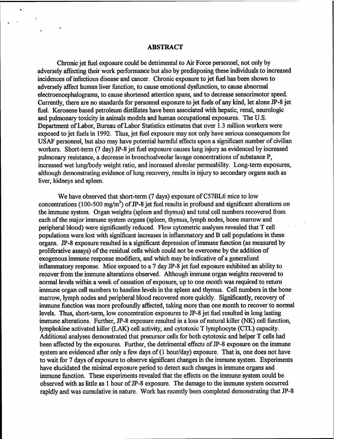#### ABSTRACT

Chronic jet fuel exposure could be detrimental to Air Force personnel, not only by adversely affecting their work performance but also by predisposing these individuals to increased incidences of infectious disease and cancer. Chronic exposure to jet fuel has been shown to adversely affect human liver function, to cause emotional dysfunction, to cause abnormal electroencephalograms, to cause shortened attention spans, and to decrease sensorimotor speed. Currently, there are no standards for personnel exposure to jet fuels of any kind, let alone JP-8 jet fuel. Kerosene based petroleum distillates have been associated with hepatic, renal, neurologic and pulmonary toxicity in animals models and human occupational exposures. The U.S. Department ofLabor, Bureau ofLabor Statistics estimates that over 1.3 million workers were exposed to jet fuels in 1992. Thus, jet fuel exposure may not only have serious consequences for USAF personnel, but also may have potential harmful effects upon a significant number of civilian workers. Short-term (7 day) JP-8 jet fuel exposure causes lung injury as evidenced by increased pulmonary resistance, a decrease in bronchoalveolar lavage concentrations of substance P, increased wet lung/body weight ratio, and increased alveolar permeability. Long-term exposures, although demonstrating evidence of lung recovery, results in injury to secondary organs such as liver, kidneys and spleen.

We have observed that short-term (7 days) exposure of C57BL6 mice to low concentrations (100-500 mg/m<sup>3</sup>) of JP-8 jet fuel results in profound and significant alterations on the immune system. Organ weights (spleen and thymus) and total cell numbers recovered from each of the major immune system organs (spleen, thymus, lymph nodes, bone marrow and peripheral blood) were significantly reduced. Flow cytometric analyses revealed that T cell populations were lost with significant increases in inflammatory and B cell populations in these organs. JP-8 exposure resulted in a significant depression ofimmune function (as measured by proliferative assays) of the residual cells which could not be overcome by the addition of exogenous immune response modifiers, and which may be indicative of a generalized inflammatory response. Mice exposed to a 7 day JP-8 jet fuel exposure exhibited an ability to recover from the immune alterations observed. Although immune organ weights recovered to normal levels within a week of cessation of exposure, up to one month was required to return immune organ cell numbers to baseline levels in the spleen and thymus. Cell numbers in the bone marrow, lymph nodes and peripheral blood recovered more quickly. Significantly, recovery of immune function was more profoundly affected, taking more than one month to recover to normal levels. Thus, short-term, low concentration exposures to JP-8 jet fuel resulted in long lasting immune alterations. Further, JP-8 exposure resulted in a loss of natural killer (NK) cell function, lymphokine activated killer (LAK) cell activity, and cytotoxic T lymphocyte (CTL) capacity. Additional analyses demonstrated that precursor cells for both cytotoxic and helper T cells had been affected by the exposures. Further, the detrimental effects of JP-8 exposure on the immune system are evidenced after only a few days of (1 hour/day) exposure. That is, one does not have to wait for 7 days of exposure to observe significant changes in the immune system. Experiments have elucidated the minimal exposure period to detect such changes in immune organs and immune function. These experiments revealed that the effects on the immune system could be observed with as little as 1 hour of JP-8 exposure. The damage to the immune system occurred rapidly and was cumulative in nature. Work has recently been completed demonstrating that JP-8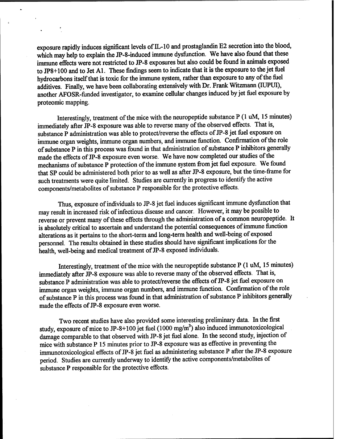exposure rapidly induces significant levels of  $IL-10$  and prostaglandin E2 secretion into the blood, which may help to explain the JP-8-induced immune dysfunction. We have also found that these immune effects were not restricted to JP-8 exposures but also could be found in animals exposed to JP8+100 and to Jet Al. These findings seem to indicate that it is the exposure to the jet fuel hydrocarbons itself that is toxic for the immune system, rather than exposure to any of the fuel additives. Finally, we have been collaborating extensively with Dr. Frank Witzmann (IUPUI), another AFOSR-funded investigator, to examine cellular changes induced byjet fuel exposure by proteomic mapping.

Interestingly, treatment of the mice with the neuropeptide substance P (1 uM, 15 minutes) immediately after JP-8 exposure was able to reverse many of the observed effects. That is, substance P administration was able to protect/reverse the effects of JP-8 jet fuel exposure on immune organ weights, immune organ numbers, and immune function. Confirmation of the role of substance P in this process was found in that administration of substance P inhibitors generally made the effects of JP-8 exposure even worse. We have now completed our studies of the mechanisms of substance P protection of the immune system from jet fuel exposure. We found that SP could be administered both prior to as well as after JP-8 exposure, but the time-frame for such treatments were quite limited. Studies are currently in progress to identify the active components/metabolites of substance P responsible for the protective effects.

Thus, exposure of individuals to JP-8 jet fuel induces significant immune dysfunction that may result in increased risk of infectious disease and cancer. However, it may be possible to reverse or prevent many of these effects through the administration of a common neuropeptide. It is absolutely critical to ascertain and understand the potential consequences of immune function alterations as it pertains to the short-term and long-term health and well-being of exposed personnel. The results obtained in these studies should have significant implications for the health, well-being and medical treatment of JP-8 exposed individuals.

Interestingly, treatment of the mice with the neuropeptide substance  $P(1 \text{ uM}, 15 \text{ minutes})$ immediately after JP-8 exposure was able to reverse many of the observed effects. That is, substance P administration was able to protect/reverse the effects of JP-8 jet fuel exposure on immune organ weights, immune organ numbers, and immune function. Confirmation of the role of substance P in this process was found in that administration of substance P inhibitors generally made the effects of JP-8 exposure even worse.

Two recent studies have also provided some interesting preliminary data. In the first study, exposure of mice to JP-8+100 jet fuel  $(1000 \text{ mg/m}^3)$  also induced immunotoxicological damage comparable to that observed with JP-8 jet fuel alone. In the second study, injection of mice with substance P 15 minutes prior to JP-8 exposure was as effective in preventing the immunotoxicological effects of JP-8 jet fuel as administering substance P after the JP-8 exposure period. Studies are currently underway to identify the active components/metabolites of substance P responsible for the protective effects.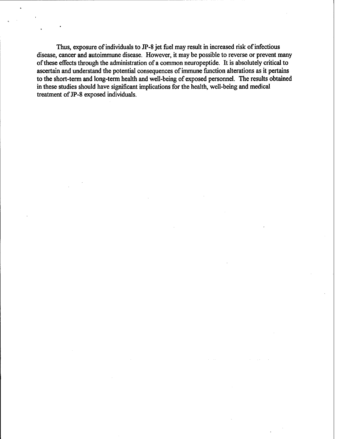Thus, exposure of individuals to JP-8 jet fuel may result in increased risk of infectious disease, cancer and autoimmune disease. However, it may be possible to reverse or prevent many ofthese effects through the administration of a common neuropeptide. It is absolutely critical to ascertain and understand the potential consequences of immune function alterations as it pertains to the short-term and long-term health and well-being of exposed personnel. The results obtained in these studies should have significant implications for the health, well-being and medical treatment of JP-8 exposed individuals.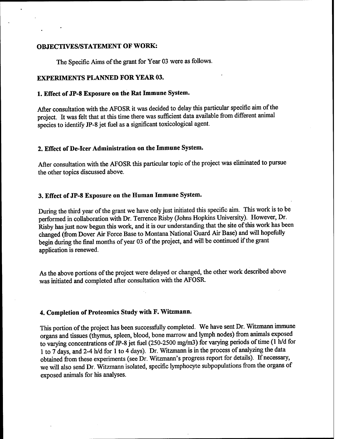#### **OBJECTIVES/STATEMENT OF WORK:**

The Specific Aims of the grant for Year 03 were as follows.

# **EXPERIMENTS PLANNED FOR YEAR 03.**

# **1. Effect of JP-8 Exposure on the Rat Immune System.**

After consultation with the AFOSR it was decided to delay this particular specific aim of the project. It was felt that at this time there was sufficient data available from different animal species to identify JP-8 jet fuel as a significant toxicological agent.

# **2. Effect of De-icer Administration on the Immune System.**

After consultation with the AFOSR this particular topic of the project was eliminated to pursue the other topics discussed above.

#### **3. Effect of JP-8 Exposure on the Human Immune System.**

During the third year of the grant we have only just initiated this specific aim. This work is to be performed in collaboration with Dr. Terrence Risby (Johns Hopkins University). However, Dr. Risby has just now begun this work, and it is our understanding that the site of this work has been changed (from Dover Air Force Base to Montana National Guard Air Base) and will hopefully begin during the final months of year 03 of the project, and will be continued if the grant application is renewed.

As the above portions of the project were delayed or changed, the other work described above was initiated and completed after consultation with the AFOSR.

# **4. Completion of Proteomics Study with F. Witzmann.**

This portion of the project has been successfully completed. We have sent Dr. Witzmann immune organs and tissues (thymus, spleen, blood, bone marrow and lymph nodes) from animals exposed to varying concentrations of JP-8 jet fuel (250-2500 mg/m3) for varying periods of time (1 h/d for <sup>1</sup> to 7 days, and 2-4 h/d for <sup>1</sup> to 4 days). Dr. Witzmann is in the process of analyzing the data obtained from these experiments (see Dr. Witzmann's progress report for details). If necessary, we will also send Dr. Witzmann isolated, specific lymphocyte subpopulations from the organs of exposed animals for his analyses.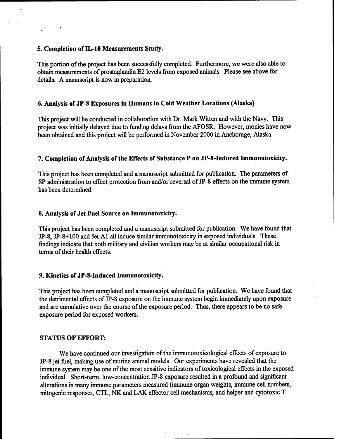#### **5. Completion ofIL-10 Measurements Study.**

This portion of the project has been successfully completed. Furthermore, we were also able to obtain measurements of prostaglandin E2 levels from exposed animals. Please see above for details. A manuscript is now in preparation.

#### **6. Analysis of JP-8 Exposures in Humans in Cold Weather Locations (Alaska)**

This project will be conducted in collaboration with Dr. Mark Witten and with the Navy. This project was initially delayed due to funding delays from the AFOSR. However, monies have now been obtained and this project will be performed in November 2000 in Anchorage, Alaska.

#### **7. Completion ofAnalysis ofthe Effects of Substance P on JP-8-Induced Immunotoxicity.**

This project has been completed and a manuscript submitted for publication. The parameters of SP administration to effect protection from and/or reversal of JP-8 effects on the immune system has been determined.

#### **8. Analysis of Jet Fuel Source on Immunotoxicity.**

This project has been completed and a manuscript submitted for publication. We have found that JP-8, JP-8+100 and Jet Al all induce similar immunotoxicity in exposed individuals. These findings indicate that both military and civilian workers may be at similar occupational risk in terms of their health effects.

#### **9. Kinetics of JP-8-Induced Immunotoxicity.**

This project has been completed and a manuscript submitted for publication. We have found that the detrimental effects of JP-8 exposure on the immune system begin immediately upon exposure and are cumulative over the course of the exposure period. Thus, there appears to be no safe exposure period for exposed workers.

#### **STATUS OF EFFORT:**

We have continued our investigation of the immunotoxicological effects of exposure to JP-8 jet fuel, making use of murine animal models. Our experiments have revealed that the immune system may be one of the most sensitive indicators of toxicological effects in the exposed individual. Short-term, low-concentration JP-8 exposure resulted in a profound and significant alterations in many immune parameters measured (immune organ weights, immune cell numbers, mitogenic responses, CTL, NK and LAK effector cell mechanisms, and helper and cytotoxic T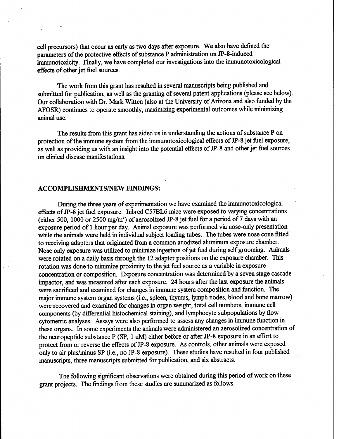cell precursors) that occur as early as two days after exposure. We also have defined the parameters of the protective effects of substance P administration on JP-8-induced immunotoxicity. Finally, we have completed our investigations into the immunotoxicological effects of other jet fuel sources.

The work from this grant has resulted in several manuscripts being published and submitted for publication, as well as the granting of several patent applications (please see below). Our collaboration with Dr. Mark Witten (also at the University of Arizona and also funded by the AFOSR) continues to operate smoothly, maximizing experimental outcomes while minimizing animal use.

The results from this grant has aided us in understanding the actions of substance P on protection of the immune system from the immunotoxicological effects of JP-8 jet fuel exposure, as well as providing us with an insight into the potential effects of JP-8 and other jet fuel sources on clinical disease manifestations.

#### ACCOMPLISHMENTS/NEW FINDINGS:

During the three years of experimentation we have examined the immunotoxicological effects of JP-8 jet fuel exposure. Inbred C57BL6 mice were exposed to varying concentrations (either 500, 1000 or 2500 mg/m<sup>3</sup>) of aerosolized JP-8 jet fuel for a period of 7 days with an exposure period of <sup>1</sup> hour per day. Animal exposure was performed via nose-only presentation while the animals were held in individual subject loading tubes. The tubes were nose cone fitted to receiving adapters that originated from a common anodized aluminum exposure chamber. Nose only exposure was utilized to minimize ingestion of jet fuel during self grooming. Animals were rotated on a daily basis through the 12 adapter positions on the exposure chamber. This rotation was done to minimize proximity to the jet fuel source as a variable in exposure concentration or composition. Exposure concentration was determined by a seven stage cascade impactor, and was measured after each exposure. 24 hours after the last exposure the animals were sacrificed and examined for changes in immune system composition and function. The major immune system organ systems (i.e., spleen, thymus, lymph nodes, blood and bone marrow) were recovered and examined for changes in organ weight, total cell numbers, immune cell components (by differential histochemical staining), and lymphocyte subpopulations by flow cytometric analyses. Assays were also performed to assess any changes in immune function in these organs. In some experiments the animals were administered an aerosolized concentration of the neuropeptide substance P (SP, <sup>1</sup> uM) either before or after JP-8 exposure in an effort to protect from or reverse the effects of JP-8 exposure. As controls, other animals were exposed only to air plus/minus SP (i.e., no JP-8 exposure). These studies have resulted in four published manuscripts, three manuscripts submitted for publication, and six abstracts.

The following significant observations were obtained during this period of work on these grant projects. The findings from these studies are summarized as follows.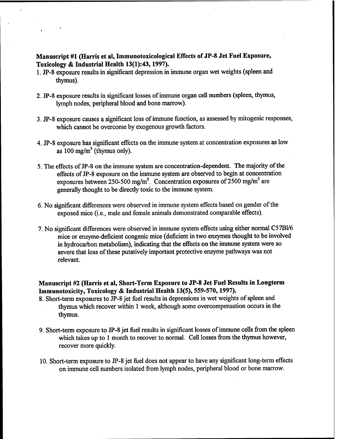# **Manuscript #1 (Harris et al, Immunotoxicological Effects of JP-8 Jet Fuel Exposure, Toxicology & Industrial Health 13(1):43,1997).**

- 1. **JP-8** exposure results in significant depression in immune organ wet weights (spleen and thymus).
- 2. JP-8 exposure results in significant losses of immune organ cell numbers (spleen, thymus, lymph nodes, peripheral blood and bone marrow).
- 3. JP-8 exposure causes a significant loss ofimmune function, as assessed by mitogenic responses, which cannot be overcome by exogenous growth factors.
- 4. JP-8 exposure has significant effects on the immune system at concentration exposures as low as  $100 \text{ mg/m}^3$  (thymus only).
- 5. The effects of JP-8 on the immune system are concentration-dependent. The majority of the effects of JP-8 exposure on the immune system are observed to begin at concentration exposures between 250-500 mg/m<sup>3</sup>. Concentration exposures of 2500 mg/m<sup>3</sup> are generally thought to be directly toxic to the immune system.
- 6. No significant differences were observed in immune system effects based on gender of the exposed mice (i.e., male and female animals demonstrated comparable effects).
- 7. No significant differences were observed in immune system effects using either normal C57B1/6 mice or enzyme-deficient congenic mice (deficient in two enzymes thought to be involved in hydrocarbon metabolism), indicating that the effects on the immune system were so severe that loss of these putatively important protective enzyme pathways was not relevant.

# **Manuscript #2 (Harris et al, Short-Term Exposure to JP-8 Jet Fuel Results in Longterm Immunotoxicity, Toxicology & Industrial Health 13(5), 559-570,1997).**

- 8. Short-term exposures to JP-8 jet fuel results in depressions in wet weights of spleen and thymus which recover within <sup>1</sup> week, although some overcompensation occurs in the thymus.
- 9. Short-term exposure to JP-8 jet fuel results in significant losses of immune cells from the spleen which takes up to <sup>1</sup> month to recover to normal. Cell losses from the thymus however, recover more quickly.
- 10. Short-term exposure to JP-8 jet fuel does not appear to have any significant long-term effects on immune cell numbers isolated from lymph nodes, peripheral blood or bone marrow.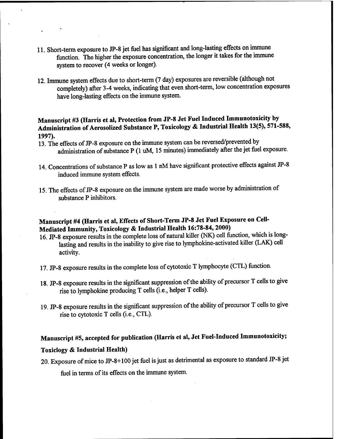- 11. Short-term exposure to JP-8 jet fuel has significant and long-lasting effects on immune function. The higher the exposure concentration, the longer it takes for the immune system to recover (4 weeks or longer).
- 12. Immune system effects due to short-term (7 day) exposures are reversible (although not completely) after 3-4 weeks, indicating that even short-term, low concentration exposures have long-lasting effects on the immune system.

# **Manuscript #3 (Harris et al, Protection from JP-8 Jet Fuel Induced Immunotoxicity by Administration of Aerosolized Substance P, Toxicology & Industrial Health 13(5), 571-588, 1997).**

- 13. The effects of JP-8 exposure on the immune system can be reversed/prevented by administration of substance P (1 uM, 15 minutes) immediately after the jet fuel exposure.
- 14. Concentrations of substance P as low as 1 nM have significant protective effects against JP-8 induced immune system effects.
- 15. The effects of JP-8 exposure on the immune system are made worse by administration of substance P inhibitors.

# **Manuscript #4 (Harris et al, EiTects of Short-Term JP-8 Jet Fuel Exposure on Cell-Mediated Immunity, Toxicology & Industrial Health 16:78-84,2000)**

- 16. JP-8 exposure results in the complete loss of natural killer (NK) cell function, which is longlasting and results in the inability to give rise to lymphokine-activated killer (LAK) cell activity.
- 17. JP-8 exposure results in the complete loss of cytotoxic T lymphocyte (CTL) function.
- 18. JP-8 exposure results in the significant suppression of the ability of precursor T cells to give rise to lymphokine producing T cells (i.e., helper T cells).
- 19. JP-8 exposure results in the significant suppression of the ability of precursor T cells to give rise to cytotoxic T cells (i.e., CTL).

# **Manuscript #5, accepted for publication (Harris et al, Jet Fuel-Induced Immunotoxicity;**

# **Toxiclogy & Industrial Health)**

20. Exposure of mice to JP-8+100 jet fuel is just as detrimental as exposure to standard JP-8 jet

fuel in terms of its effects on the immune system.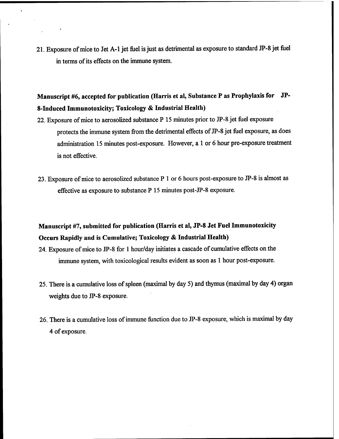21. Exposure of mice to Jet A-1 jet fuel is just as detrimental as exposure to standard JP-8 jet fuel in terms of its effects on the immune system.

# **Manuscript #6, accepted for publication (Harris et al, Substance P as Prophylaxis for JP-8-Induced Immunotoxicity; Toxicology & Industrial Health)**

- 22. Exposure of mice to aerosolized substance P 15 minutes prior to JP-8 jet fuel exposure protects the immune system from the detrimental effects of JP-8 jet fuel exposure, as does administration 15 minutes post-exposure. However, a <sup>1</sup> or 6 hour pre-exposure treatment is not effective.
- 23. Exposure ofmice to aerosolized substance P <sup>1</sup> or 6 hours post-exposure to JP-8 is almost as effective as exposure to substance P 15 minutes post-JP-8 exposure.

# **Manuscript #7, submitted for publication (Harris et al, JP-8 Jet Fuel Immunotoxicity Occurs Rapidly and is Cumulative; Toxicology & Industrial Health)**

- 24. Exposure ofmice to JP-8 for <sup>1</sup> hour/day initiates a cascade of cumulative effects on the immune system, with toxicological results evident as soon as <sup>1</sup> hour post-exposure.
- 25. There is a cumulative loss of spleen (maximal by day 5) and thymus (maximal by day 4) organ weights due to JP-8 exposure.
- 26. There is a cumulative loss of immune function due to JP-8 exposure, which is maximal by day 4 of exposure.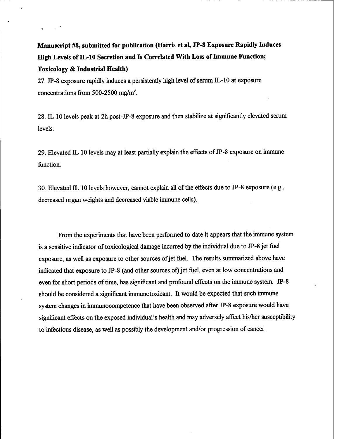**Manuscript #8, submitted for publication (Harris et al, JP-8 Exposure Rapidly Induces High Levels of IL-10 Secretion and Is Correlated With Loss of Immune Function; Toxicology & Industrial Health)**

27. JP-8 exposure rapidly induces a persistently high level of serum  $IL-10$  at exposure concentrations from 500-2500 mg/m<sup>3</sup>.

28. IL 10 levels peak at 2h post-JP-8 exposure and then stabilize at significantly elevated serum levels.

29. Elevated  $IL$  10 levels may at least partially explain the effects of JP-8 exposure on immune function.

30. Elevated IL 10 levels however, cannot explain all of the effects due to JP-8 exposure (e.g., decreased organ weights and decreased viable immune cells).

From the experiments that have been performed to date it appears that the immune system is a sensitive indicator of toxicological damage incurred by the individual due to JP-8 jet fuel exposure, as well as exposure to other sources of jet fuel. The results summarized above have indicated that exposure to JP-8 (and other sources of) jet fuel, even at low concentrations and even for short periods of time, has significant and profound effects on the immune system. JP-8 should be considered a significant immunotoxicant. It would be expected that such immune system changes in immunocompetence that have been observed after JP-8 exposure would have significant effects on the exposed individual's health and may adversely affect his/her susceptibility to infectious disease, as well as possibly the development and/or progression of cancer.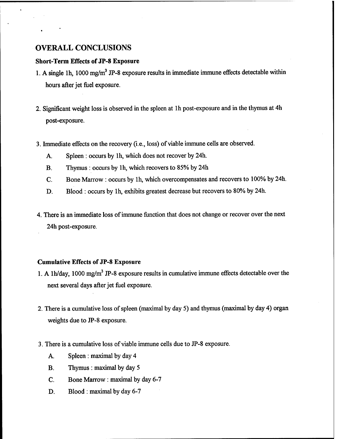# OVERALL CONCLUSIONS

#### **Short-Term Effects of JP-8 Exposure**

- 1. A single 1h, 1000 mg/m<sup>3</sup> JP-8 exposure results in immediate immune effects detectable within hours after jet fuel exposure.
- 2. Significant weight loss is observed in the spleen at lh post-exposure and in the thymus at 4h post-exposure.
- 3. Immediate effects on the recovery (i.e., loss) of viable immune cells are observed.
	- A. Spleen : occurs by lh, which does not recover by 24h.
	- B. Thymus : occurs by lh, which recovers to 85% by 24h
	- C. Bone Marrow : occurs by lh, which overcompensates and recovers to 100% by 24h.
	- D. Blood : occurs by lh, exhibits greatest decrease but recovers to 80% by 24h.
- 4. There is an immediate loss of immune function that does not change or recover over the next 24h post-exposure.

#### **Cumulative Effects of JP-8 Exposure**

- 1. A 1h/day, 1000 mg/m<sup>3</sup> JP-8 exposure results in cumulative immune effects detectable over the next several days after jet fuel exposure.
- 2. There is a cumulative loss of spleen (maximal by day 5) and thymus (maximal by day 4) organ weights due to JP-8 exposure.
- 3. There is a cumulative loss of viable immune cells due to JP-8 exposure.
	- A. Spleen : maximal by day 4
	- B. Thymus : maximal by day 5
	- C. Bone Marrow : maximal by day 6-7
	- D. Blood : maximal by day 6-7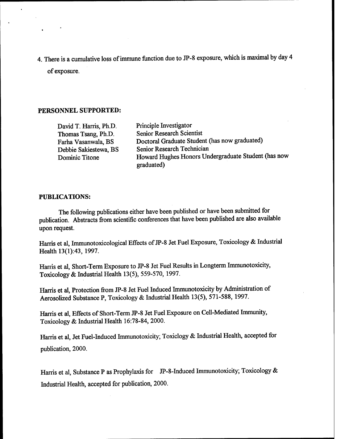4. There is a cumulative loss of immune function due to JP-8 exposure, which is maximal by day 4 of exposure.

#### **PERSONNEL SUPPORTED:**

David T. Harris, Ph.D. Thomas Tsang, Ph.D. Farha Vasanwala, BS Debbie Sakiestewa, BS Dominic Titone

Principle Investigator Senior Research Scientist Doctoral Graduate Student (has now graduated) Senior Research Technician Howard Hughes Honors Undergraduate Student (has now graduated)

#### **PUBLICATIONS:**

The following publications either have been published or have been submitted for publication. Abstracts from scientific conferences that have been published are also available upon request.

Harris et al, Immunotoxicological Effects of JP-8 Jet Fuel Exposure, Toxicology & Industrial Health 13(1):43, 1997.

Harris et al, Short-Term Exposure to JP-8 Jet Fuel Results in Longterm Immunotoxicity, Toxicology & Industrial Health 13(5), 559-570,1997.

Harris et al, Protection from JP-8 Jet Fuel Induced Immunotoxicity by Administration of Aerosolized Substance P, Toxicology & Industrial Health 13(5), 571-588, 1997.

Harris et al, Effects of Short-Term JP-8 Jet Fuel Exposure on Cell-Mediated Immunity, Toxicology & Industrial Health 16:78-84, 2000.

Harris et al, Jet Fuel-Induced Immunotoxicity; Toxiclogy & Industrial Health, accepted for publication, 2000.

Harris et al, Substance P as Prophylaxis for JP-8-Induced Immunotoxicity; Toxicology & Industrial Health, accepted for publication, 2000.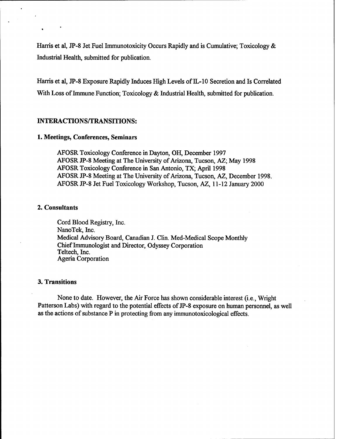Harris et al, JP-8 Jet Fuel Immunotoxicity Occurs Rapidly and is Cumulative; Toxicology & Industrial Health, submitted for publication.

Harris et al, JP-8 Exposure Rapidly Induces High Levels of IL-10 Secretion and Is Correlated With Loss of Immune Function; Toxicology  $&$  Industrial Health, submitted for publication.

#### **INTERACTIONS/TRANSITIONS:**

#### **1. Meetings, Conferences, Seminars**

AFOSR Toxicology Conference in Dayton, OH, December 1997 AFOSR JP-8 Meeting at The University of Arizona, Tucson, AZ; May 1998 AFOSR Toxicology Conference in San Antonio, TX; April 1998 AFOSR JP-8 Meeting at The University of Arizona, Tucson, AZ, December 1998. AFOSR JP-8 Jet Fuel Toxicology Workshop, Tucson, AZ, 11-12 January 2000

### **2. Consultants**

Cord Blood Registry, Inc. NanoTek, Inc. Medical Advisory Board, Canadian J. Clin. Med-Medical Scope Monthly ChiefImmunologist and Director, Odyssey Corporation Teltech, Inc. Ageria Corporation

### **3. Transitions**

None to date. However, the Air Force has shown considerable interest (i.e., Wright Patterson Labs) with regard to the potential effects of JP-8 exposure on human personnel, as well as the actions of substance  $P$  in protecting from any immunotoxicological effects.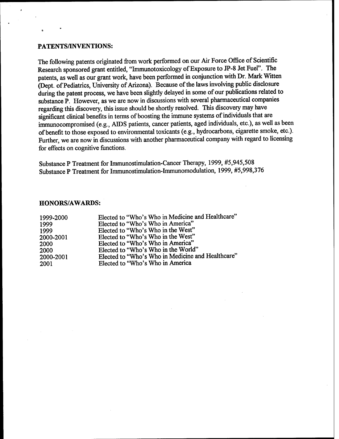#### **PATENTS/INVENTIONS:**

The following patents originated from work performed on our Air Force Office of Scientific Research sponsored grant entitled, "Immunotoxicology of Exposure to JP-8 Jet Fuel". The patents, as well as our grant work, have been performed in conjunction with Dr. Mark Witten (Dept. of Pediatrics, University of Arizona). Because of the laws involving public disclosure during the patent process, we have been slightly delayed in some of our publications related to substance P. However, as we are now in discussions with several pharmaceutical companies regarding this discovery, this issue should be shortly resolved. This discovery may have significant clinical benefits in terms of boosting the immune systems of individuals that are immunocompromised (e.g., AIDS patients, cancer patients, aged individuals, etc.), as well as been ofbenefit to those exposed to environmental toxicants (e.g., hydrocarbons, cigarette smoke, etc.). Further, we are now in discussions with another pharmaceutical company with regard to licensing for effects on cognitive functions.

Substance P Treatment for Immunostimulation-Cancer Therapy, 1999, #5,945,508 Substance P Treatment for Immunostimulation-Immunomodulation, 1999, #5,998,376

#### **HONORS/AWARDS:**

| 1999-2000 | Elected to "Who's Who in Medicine and Healthcare" |
|-----------|---------------------------------------------------|
| 1999      | Elected to "Who's Who in America"                 |
| 1999      | Elected to "Who's Who in the West"                |
| 2000-2001 | Elected to "Who's Who in the West"                |
| 2000      | Elected to "Who's Who in America"                 |
| 2000      | Elected to "Who's Who in the World"               |
| 2000-2001 | Elected to "Who's Who in Medicine and Healthcare" |
| 2001      | Elected to "Who's Who in America                  |